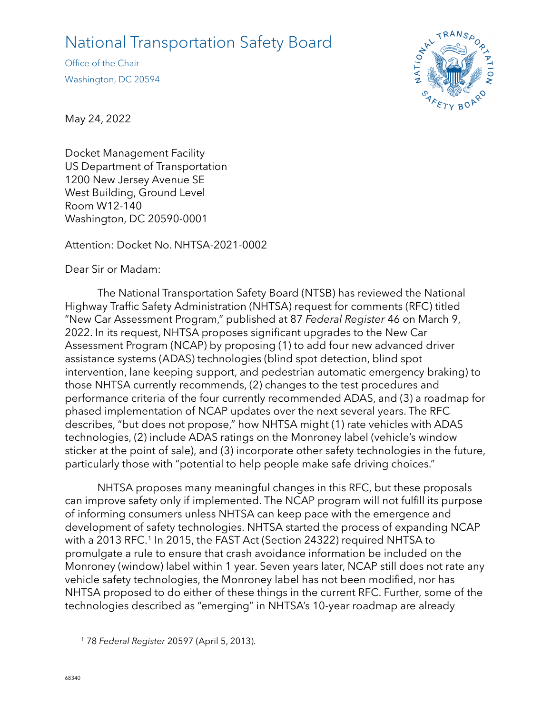## National Transportation Safety Board

Office of the Chair Washington, DC 20594



May 24, 2022

Docket Management Facility US Department of Transportation 1200 New Jersey Avenue SE West Building, Ground Level Room W12-140 Washington, DC 20590-0001

Attention: Docket No. NHTSA-2021-0002

Dear Sir or Madam:

The National Transportation Safety Board (NTSB) has reviewed the National Highway Traffic Safety Administration (NHTSA) request for comments (RFC) titled "New Car Assessment Program," published at 87 *Federal Register* 46 on March 9, 2022. In its request, NHTSA proposes significant upgrades to the New Car Assessment Program (NCAP) by proposing (1) to add four new advanced driver assistance systems (ADAS) technologies (blind spot detection, blind spot intervention, lane keeping support, and pedestrian automatic emergency braking) to those NHTSA currently recommends, (2) changes to the test procedures and performance criteria of the four currently recommended ADAS, and (3) a roadmap for phased implementation of NCAP updates over the next several years. The RFC describes, "but does not propose," how NHTSA might (1) rate vehicles with ADAS technologies, (2) include ADAS ratings on the Monroney label (vehicle's window sticker at the point of sale), and (3) incorporate other safety technologies in the future, particularly those with "potential to help people make safe driving choices."

NHTSA proposes many meaningful changes in this RFC, but these proposals can improve safety only if implemented. The NCAP program will not fulfill its purpose of informing consumers unless NHTSA can keep pace with the emergence and development of safety technologies. NHTSA started the process of expanding NCAP with a 2013 RFC. [1](#page-0-0) In 2015, the FAST Act (Section 24322) required NHTSA to promulgate a rule to ensure that crash avoidance information be included on the Monroney (window) label within 1 year. Seven years later, NCAP still does not rate any vehicle safety technologies, the Monroney label has not been modified, nor has NHTSA proposed to do either of these things in the current RFC. Further, some of the technologies described as "emerging" in NHTSA's 10-year roadmap are already

<span id="page-0-0"></span><sup>1</sup> 78 *Federal Register* 20597 (April 5, 2013).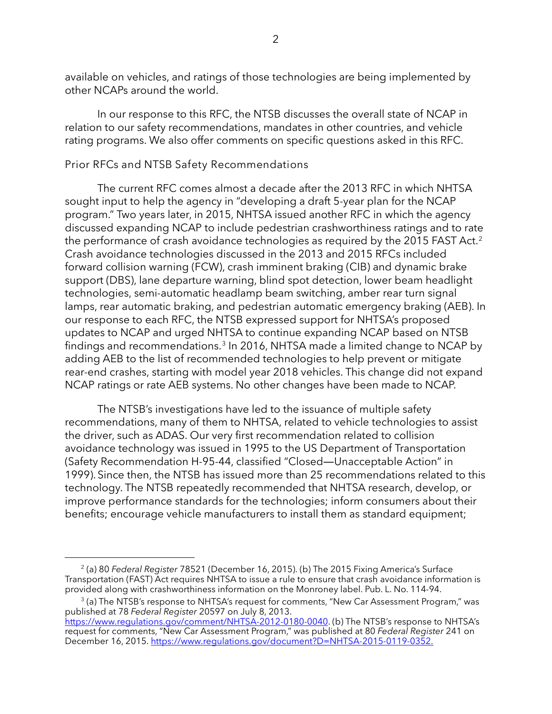available on vehicles, and ratings of those technologies are being implemented by other NCAPs around the world.

In our response to this RFC, the NTSB discusses the overall state of NCAP in relation to our safety recommendations, mandates in other countries, and vehicle rating programs. We also offer comments on specific questions asked in this RFC.

## Prior RFCs and NTSB Safety Recommendations

The current RFC comes almost a decade after the 2013 RFC in which NHTSA sought input to help the agency in "developing a draft 5-year plan for the NCAP program." Two years later, in 2015, NHTSA issued another RFC in which the agency discussed expanding NCAP to include pedestrian crashworthiness ratings and to rate the performance of crash avoidance technologies as required by the [2](#page-1-0)015 FAST Act.<sup>2</sup> Crash avoidance technologies discussed in the 2013 and 2015 RFCs included forward collision warning (FCW), crash imminent braking (CIB) and dynamic brake support (DBS), lane departure warning, blind spot detection, lower beam headlight technologies, semi-automatic headlamp beam switching, amber rear turn signal lamps, rear automatic braking, and pedestrian automatic emergency braking (AEB). In our response to each RFC, the NTSB expressed support for NHTSA's proposed updates to NCAP and urged NHTSA to continue expanding NCAP based on NTSB findings and recommendations. [3](#page-1-1) In 2016, NHTSA made a limited change to NCAP by adding AEB to the list of recommended technologies to help prevent or mitigate rear-end crashes, starting with model year 2018 vehicles. This change did not expand NCAP ratings or rate AEB systems. No other changes have been made to NCAP.

The NTSB's investigations have led to the issuance of multiple safety recommendations, many of them to NHTSA, related to vehicle technologies to assist the driver, such as ADAS. Our very first recommendation related to collision avoidance technology was issued in 1995 to the US Department of Transportation (Safety Recommendation H-95-44, classified "Closed―Unacceptable Action" in 1999). Since then, the NTSB has issued more than 25 recommendations related to this technology. The NTSB repeatedly recommended that NHTSA research, develop, or improve performance standards for the technologies; inform consumers about their benefits; encourage vehicle manufacturers to install them as standard equipment;

<span id="page-1-1"></span> $3$  (a) The NTSB's response to NHTSA's request for comments, "New Car Assessment Program," was published at 78 *Federal Register* 20597 on July 8, 2013.

<span id="page-1-0"></span><sup>2</sup> (a) 80 *Federal Register* 78521 (December 16, 2015). (b) The 2015 Fixing America's Surface Transportation (FAST) Act requires NHTSA to issue a rule to ensure that crash avoidance information is provided along with crashworthiness information on the Monroney label. Pub. L. No. 114-94.

[https://www.regulations.gov/comment/NHTSA-2012-0180-0040.](https://www.regulations.gov/comment/NHTSA-2012-0180-0040) (b) The NTSB's response to NHTSA's request for comments, "New Car Assessment Program," was published at 80 *Federal Register* 241 on December 16, 2015[. https://www.regulations.gov/document?D=NHTSA-2015-0119-0352.](https://www.regulations.gov/document?D=NHTSA-2015-0119-0352)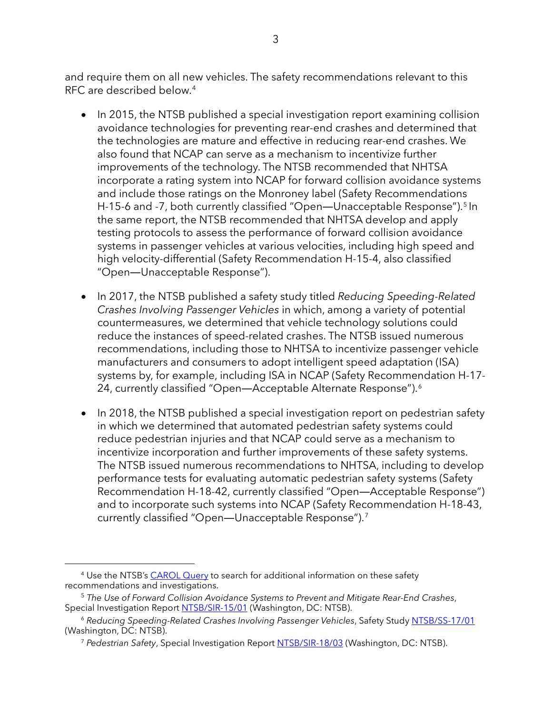and require them on all new vehicles. The safety recommendations relevant to this RFC are described below. [4](#page-2-0)

- In 2015, the NTSB published a special investigation report examining collision avoidance technologies for preventing rear-end crashes and determined that the technologies are mature and effective in reducing rear-end crashes. We also found that NCAP can serve as a mechanism to incentivize further improvements of the technology. The NTSB recommended that NHTSA incorporate a rating system into NCAP for forward collision avoidance systems and include those ratings on the Monroney label (Safety Recommendations H-1[5](#page-2-1)-6 and -7, both currently classified "Open—Unacceptable Response").<sup>5</sup> In the same report, the NTSB recommended that NHTSA develop and apply testing protocols to assess the performance of forward collision avoidance systems in passenger vehicles at various velocities, including high speed and high velocity-differential (Safety Recommendation H-15-4, also classified "Open―Unacceptable Response").
- In 2017, the NTSB published a safety study titled *Reducing Speeding-Related Crashes Involving Passenger Vehicles* in which, among a variety of potential countermeasures, we determined that vehicle technology solutions could reduce the instances of speed-related crashes. The NTSB issued numerous recommendations, including those to NHTSA to incentivize passenger vehicle manufacturers and consumers to adopt intelligent speed adaptation (ISA) systems by, for example, including ISA in NCAP (Safety Recommendation H-17- 24, currently classified "Open—Acceptable Alternate Response").<sup>[6](#page-2-2)</sup>
- In 2018, the NTSB published a special investigation report on pedestrian safety in which we determined that automated pedestrian safety systems could reduce pedestrian injuries and that NCAP could serve as a mechanism to incentivize incorporation and further improvements of these safety systems. The NTSB issued numerous recommendations to NHTSA, including to develop performance tests for evaluating automatic pedestrian safety systems (Safety Recommendation H-18-42, currently classified "Open―Acceptable Response") and to incorporate such systems into NCAP (Safety Recommendation H-18-43, currently classified "Open―Unacceptable Response").[7](#page-2-3)

<span id="page-2-0"></span><sup>&</sup>lt;sup>4</sup> Use the NTSB's [CAROL Query](https://data.ntsb.gov/carol-main-public/basic-search) to search for additional information on these safety recommendations and investigations.

<span id="page-2-1"></span><sup>5</sup> *The Use of Forward Collision Avoidance Systems to Prevent and Mitigate Rear-End Crashes*, Special Investigation Report [NTSB/SIR-15/01](https://www.ntsb.gov/safety/safety-studies/Documents/SIR1501.pdf) (Washington, DC: NTSB).

<span id="page-2-3"></span><span id="page-2-2"></span><sup>6</sup> *Reducing Speeding-Related Crashes Involving Passenger Vehicles*, Safety Study [NTSB/SS-17/01](https://www.ntsb.gov/safety/safety-studies/documents/ss1701.pdf) (Washington, DC: NTSB).

<sup>7</sup> *Pedestrian Safety*, Special Investigation Report [NTSB/SIR-18/03](https://www.ntsb.gov/safety/safety-studies/Documents/SIR1803.pdf) (Washington, DC: NTSB).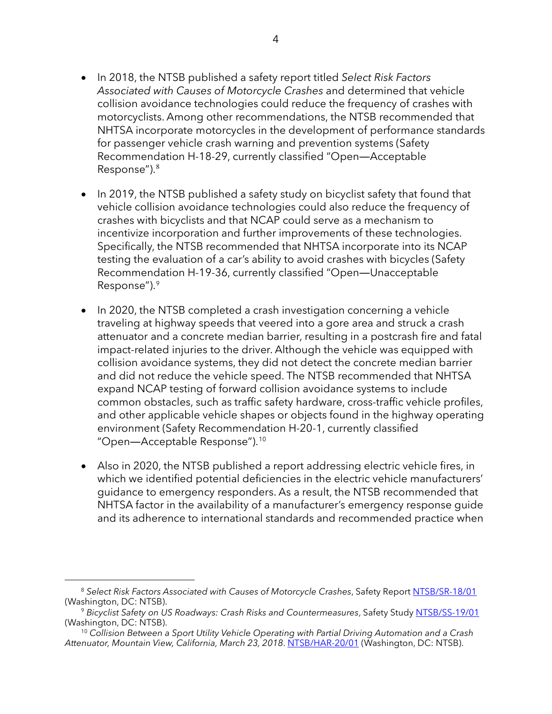- In 2018, the NTSB published a safety report titled *Select Risk Factors Associated with Causes of Motorcycle Crashes* and determined that vehicle collision avoidance technologies could reduce the frequency of crashes with motorcyclists. Among other recommendations, the NTSB recommended that NHTSA incorporate motorcycles in the development of performance standards for passenger vehicle crash warning and prevention systems (Safety Recommendation H-18-29, currently classified "Open―Acceptable Response").[8](#page-3-0)
- In 2019, the NTSB published a safety study on bicyclist safety that found that vehicle collision avoidance technologies could also reduce the frequency of crashes with bicyclists and that NCAP could serve as a mechanism to incentivize incorporation and further improvements of these technologies. Specifically, the NTSB recommended that NHTSA incorporate into its NCAP testing the evaluation of a car's ability to avoid crashes with bicycles (Safety Recommendation H-19-36, currently classified "Open―Unacceptable Response").[9](#page-3-1)
- In 2020, the NTSB completed a crash investigation concerning a vehicle traveling at highway speeds that veered into a gore area and struck a crash attenuator and a concrete median barrier, resulting in a postcrash fire and fatal impact-related injuries to the driver. Although the vehicle was equipped with collision avoidance systems, they did not detect the concrete median barrier and did not reduce the vehicle speed. The NTSB recommended that NHTSA expand NCAP testing of forward collision avoidance systems to include common obstacles, such as traffic safety hardware, cross-traffic vehicle profiles, and other applicable vehicle shapes or objects found in the highway operating environment (Safety Recommendation H-20-1, currently classified "Open―Acceptable Response").[10](#page-3-2)
- Also in 2020, the NTSB published a report addressing electric vehicle fires, in which we identified potential deficiencies in the electric vehicle manufacturers' guidance to emergency responders. As a result, the NTSB recommended that NHTSA factor in the availability of a manufacturer's emergency response guide and its adherence to international standards and recommended practice when

<span id="page-3-0"></span><sup>&</sup>lt;sup>8</sup> Select Risk Factors Associated with Causes of Motorcycle Crashes, Safety Report [NTSB/SR-18/01](https://www.ntsb.gov/safety/safety-studies/Documents/SR1801.pdf)

<span id="page-3-1"></span><sup>(</sup>Washington, DC: NTSB).<br><sup>9</sup> *Bicyclist Safety on US Roadways: Crash Risks and Countermeasures*, Safety Study <u>NTSB/SS-19/01</u><br>(Washington, DC: NTSB).

<span id="page-3-2"></span><sup>&</sup>lt;sup>10</sup> Collision Between a Sport Utility Vehicle Operating with Partial Driving Automation and a Crash Attenuator, Mountain View, California, March 23, 2018. [NTSB/HAR-20/01](https://www.ntsb.gov/investigations/AccidentReports/Reports/HAR2001.pdf) (Washington, DC: NTSB).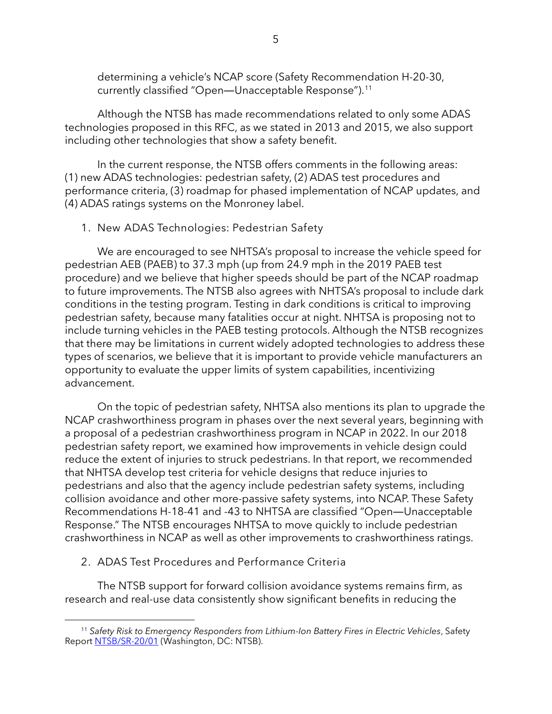determining a vehicle's NCAP score (Safety Recommendation H-20-30, currently classified "Open―Unacceptable Response").[11](#page-4-0)

Although the NTSB has made recommendations related to only some ADAS technologies proposed in this RFC, as we stated in 2013 and 2015, we also support including other technologies that show a safety benefit.

In the current response, the NTSB offers comments in the following areas: (1) new ADAS technologies: pedestrian safety, (2) ADAS test procedures and performance criteria, (3) roadmap for phased implementation of NCAP updates, and (4) ADAS ratings systems on the Monroney label.

1. New ADAS Technologies: Pedestrian Safety

We are encouraged to see NHTSA's proposal to increase the vehicle speed for pedestrian AEB (PAEB) to 37.3 mph (up from 24.9 mph in the 2019 PAEB test procedure) and we believe that higher speeds should be part of the NCAP roadmap to future improvements. The NTSB also agrees with NHTSA's proposal to include dark conditions in the testing program. Testing in dark conditions is critical to improving pedestrian safety, because many fatalities occur at night. NHTSA is proposing not to include turning vehicles in the PAEB testing protocols. Although the NTSB recognizes that there may be limitations in current widely adopted technologies to address these types of scenarios, we believe that it is important to provide vehicle manufacturers an opportunity to evaluate the upper limits of system capabilities, incentivizing advancement.

On the topic of pedestrian safety, NHTSA also mentions its plan to upgrade the NCAP crashworthiness program in phases over the next several years, beginning with a proposal of a pedestrian crashworthiness program in NCAP in 2022. In our 2018 pedestrian safety report, we examined how improvements in vehicle design could reduce the extent of injuries to struck pedestrians. In that report, we recommended that NHTSA develop test criteria for vehicle designs that reduce injuries to pedestrians and also that the agency include pedestrian safety systems, including collision avoidance and other more-passive safety systems, into NCAP. These Safety Recommendations H-18-41 and -43 to NHTSA are classified "Open―Unacceptable Response." The NTSB encourages NHTSA to move quickly to include pedestrian crashworthiness in NCAP as well as other improvements to crashworthiness ratings.

## 2. ADAS Test Procedures and Performance Criteria

The NTSB support for forward collision avoidance systems remains firm, as research and real-use data consistently show significant benefits in reducing the

<span id="page-4-0"></span><sup>11</sup> *Safety Risk to Emergency Responders from Lithium-Ion Battery Fires in Electric Vehicles*, Safety Report [NTSB/SR-20/01](https://www.ntsb.gov/safety/safety-studies/Documents/SR2001.pdf) (Washington, DC: NTSB).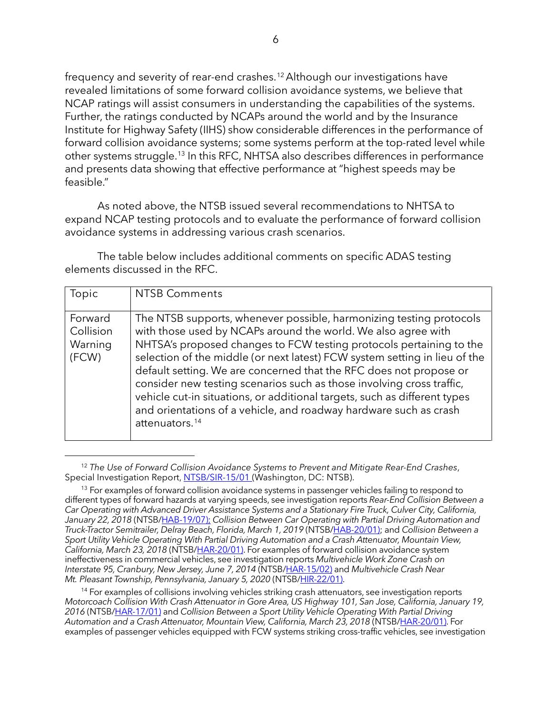frequency and severity of rear-end crashes.<sup>[12](#page-5-0)</sup> Although our investigations have revealed limitations of some forward collision avoidance systems, we believe that NCAP ratings will assist consumers in understanding the capabilities of the systems. Further, the ratings conducted by NCAPs around the world and by the Insurance Institute for Highway Safety (IIHS) show considerable differences in the performance of forward collision avoidance systems; some systems perform at the top-rated level while other systems struggle.[13](#page-5-1) In this RFC, NHTSA also describes differences in performance and presents data showing that effective performance at "highest speeds may be feasible."

As noted above, the NTSB issued several recommendations to NHTSA to expand NCAP testing protocols and to evaluate the performance of forward collision avoidance systems in addressing various crash scenarios.

The table below includes additional comments on specific ADAS testing elements discussed in the RFC.

| Topic                                    | <b>NTSB Comments</b>                                                                                                                                                                                                                                                                                                                                                                                                                                                                                                                                                                                                     |
|------------------------------------------|--------------------------------------------------------------------------------------------------------------------------------------------------------------------------------------------------------------------------------------------------------------------------------------------------------------------------------------------------------------------------------------------------------------------------------------------------------------------------------------------------------------------------------------------------------------------------------------------------------------------------|
| Forward<br>Collision<br>Warning<br>(FCW) | The NTSB supports, whenever possible, harmonizing testing protocols<br>with those used by NCAPs around the world. We also agree with<br>NHTSA's proposed changes to FCW testing protocols pertaining to the<br>selection of the middle (or next latest) FCW system setting in lieu of the<br>default setting. We are concerned that the RFC does not propose or<br>consider new testing scenarios such as those involving cross traffic,<br>vehicle cut-in situations, or additional targets, such as different types<br>and orientations of a vehicle, and roadway hardware such as crash<br>attenuators. <sup>14</sup> |

<span id="page-5-0"></span><sup>12</sup> *The Use of Forward Collision Avoidance Systems to Prevent and Mitigate Rear-End Crashes*, Special Investigation Report, [NTSB/SIR-15/01](https://www.ntsb.gov/safety/safety-studies/Documents/SIR1501.pdf) (Washington, DC: NTSB).

<span id="page-5-2"></span><sup>14</sup> For examples of collisions involving vehicles striking crash attenuators, see investigation reports *Motorcoach Collision With Crash Attenuator in Gore Area, US Highway 101, San Jose, California, January 19, 2016* (NTSB[/HAR-17/01\)](https://www.ntsb.gov/investigations/AccidentReports/Reports/HAR1701.pdf) and *Collision Between a Sport Utility Vehicle Operating With Partial Driving Automation and a Crash Attenuator, Mountain View, California, March 23, 2018* (NTSB[/HAR-20/01\)](https://www.ntsb.gov/investigations/AccidentReports/Reports/HAR2001.pdf). For examples of passenger vehicles equipped with FCW systems striking cross-traffic vehicles, see investigation

<span id="page-5-1"></span><sup>&</sup>lt;sup>13</sup> For examples of forward collision avoidance systems in passenger vehicles failing to respond to different types of forward hazards at varying speeds, see investigation reports *Rear-End Collision Between a Car Operating with Advanced Driver Assistance Systems and a Stationary Fire Truck, Culver City, California,*  January 22, 2018 (NTSB[/HAB-19/07\)](https://www.ntsb.gov/investigations/AccidentReports/Reports/HAB1907.pdf); Collision Between Car Operating with Partial Driving Automation and *Truck-Tractor Semitrailer, Delray Beach, Florida, March 1, 2019* (NTSB[/HAB-20/01\)](https://www.ntsb.gov/investigations/AccidentReports/Reports/HAB2001.pdf); and *Collision Between a Sport Utility Vehicle Operating With Partial Driving Automation and a Crash Attenuator, Mountain View, California, March 23, 2018* (NTSB[/HAR-20/01\)](https://www.ntsb.gov/investigations/AccidentReports/Reports/HAR2001.pdf). For examples of forward collision avoidance system ineffectiveness in commercial vehicles, see investigation reports *Multivehicle Work Zone Crash on Interstate 95, Cranbury, New Jersey, June 7, 2014* (NTSB[/HAR-15/02\)](https://www.ntsb.gov/investigations/AccidentReports/Reports/HAR1502.pdf) and *Multivehicle Crash Near Mt. Pleasant Township, Pennsylvania, January 5, 2020* (NTSB[/HIR-22/01\)](https://www.ntsb.gov/investigations/AccidentReports/Reports/HIR2201.pdf).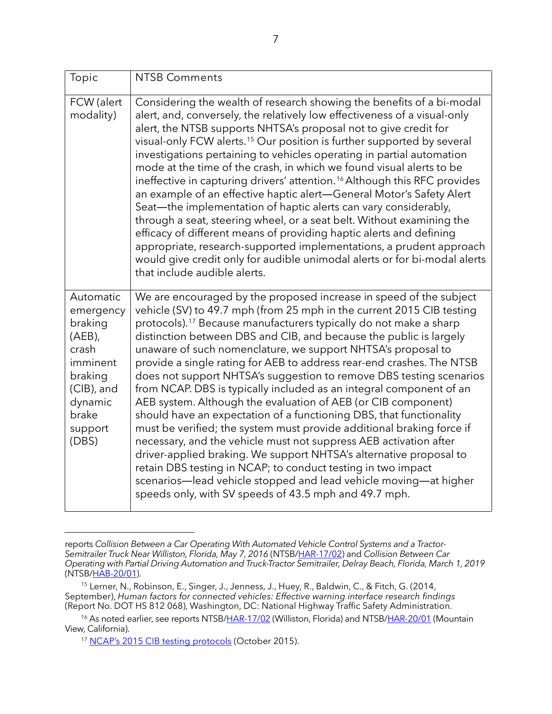| Topic                                                                                                                                | <b>NTSB Comments</b>                                                                                                                                                                                                                                                                                                                                                                                                                                                                                                                                                                                                                                                                                                                                                                                                                                                                                                                                                                                                                                                                                                                               |
|--------------------------------------------------------------------------------------------------------------------------------------|----------------------------------------------------------------------------------------------------------------------------------------------------------------------------------------------------------------------------------------------------------------------------------------------------------------------------------------------------------------------------------------------------------------------------------------------------------------------------------------------------------------------------------------------------------------------------------------------------------------------------------------------------------------------------------------------------------------------------------------------------------------------------------------------------------------------------------------------------------------------------------------------------------------------------------------------------------------------------------------------------------------------------------------------------------------------------------------------------------------------------------------------------|
| FCW (alert<br>modality)                                                                                                              | Considering the wealth of research showing the benefits of a bi-modal<br>alert, and, conversely, the relatively low effectiveness of a visual-only<br>alert, the NTSB supports NHTSA's proposal not to give credit for<br>visual-only FCW alerts. <sup>15</sup> Our position is further supported by several<br>investigations pertaining to vehicles operating in partial automation<br>mode at the time of the crash, in which we found visual alerts to be<br>ineffective in capturing drivers' attention. <sup>16</sup> Although this RFC provides<br>an example of an effective haptic alert-General Motor's Safety Alert<br>Seat—the implementation of haptic alerts can vary considerably,<br>through a seat, steering wheel, or a seat belt. Without examining the<br>efficacy of different means of providing haptic alerts and defining<br>appropriate, research-supported implementations, a prudent approach<br>would give credit only for audible unimodal alerts or for bi-modal alerts<br>that include audible alerts.                                                                                                              |
| Automatic<br>emergency<br>braking<br>$(AEB)$ ,<br>crash<br>imminent<br>braking<br>(CIB), and<br>dynamic<br>brake<br>support<br>(DBS) | We are encouraged by the proposed increase in speed of the subject<br>vehicle (SV) to 49.7 mph (from 25 mph in the current 2015 CIB testing<br>protocols). <sup>17</sup> Because manufacturers typically do not make a sharp<br>distinction between DBS and CIB, and because the public is largely<br>unaware of such nomenclature, we support NHTSA's proposal to<br>provide a single rating for AEB to address rear-end crashes. The NTSB<br>does not support NHTSA's suggestion to remove DBS testing scenarios<br>from NCAP. DBS is typically included as an integral component of an<br>AEB system. Although the evaluation of AEB (or CIB component)<br>should have an expectation of a functioning DBS, that functionality<br>must be verified; the system must provide additional braking force if<br>necessary, and the vehicle must not suppress AEB activation after<br>driver-applied braking. We support NHTSA's alternative proposal to<br>retain DBS testing in NCAP; to conduct testing in two impact<br>scenarios—lead vehicle stopped and lead vehicle moving—at higher<br>speeds only, with SV speeds of 43.5 mph and 49.7 mph. |

reports *Collision Between a Car Operating With Automated Vehicle Control Systems and a Tractor-Semitrailer Truck Near Williston, Florida, May 7, 2016* (NTSB[/HAR-17/02\)](https://www.ntsb.gov/investigations/AccidentReports/Reports/HAR1702.pdf) and *Collision Between Car Operating with Partial Driving Automation and Truck-Tractor Semitrailer, Delray Beach, Florida, March 1, 2019*  (NTSB[/HAB-20/01\)](https://www.ntsb.gov/investigations/AccidentReports/Reports/HAB2001.pdf).

<span id="page-6-0"></span><sup>15</sup> Lerner, N., Robinson, E., Singer, J., Jenness, J., Huey, R., Baldwin, C., & Fitch, G. (2014, September), *Human factors for connected vehicles: Effective warning interface research findings* (Report No. DOT HS 812 068), Washington, DC: National Highway Traffic Safety Administration.

<span id="page-6-2"></span><span id="page-6-1"></span><sup>&</sup>lt;sup>16</sup> As noted earlier, see reports NTSB[/HAR-17/02](https://www.ntsb.gov/investigations/AccidentReports/Reports/HAR1702.pdf) (Williston, Florida) and NTSB[/HAR-20/01](https://www.ntsb.gov/investigations/AccidentReports/Reports/HAR2001.pdf) (Mountain View, California).

<sup>&</sup>lt;sup>17</sup> [NCAP's 2015 CIB testing protocols](https://downloads.regulations.gov/NHTSA-2015-0006-0025/attachment_1.pdf) (October 2015).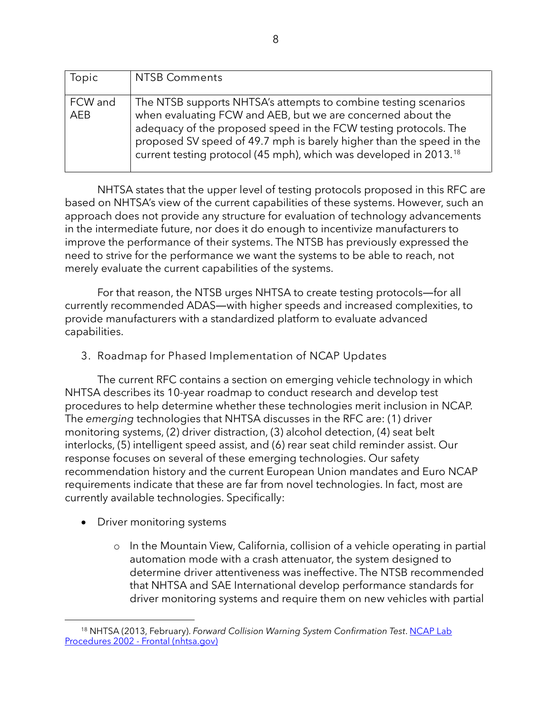| Topic          | <b>NTSB Comments</b>                                                                                                                                                                                                                                                                                                                                        |
|----------------|-------------------------------------------------------------------------------------------------------------------------------------------------------------------------------------------------------------------------------------------------------------------------------------------------------------------------------------------------------------|
| FCW and<br>AEB | The NTSB supports NHTSA's attempts to combine testing scenarios<br>when evaluating FCW and AEB, but we are concerned about the<br>adequacy of the proposed speed in the FCW testing protocols. The<br>proposed SV speed of 49.7 mph is barely higher than the speed in the<br>current testing protocol (45 mph), which was developed in 2013. <sup>18</sup> |

NHTSA states that the upper level of testing protocols proposed in this RFC are based on NHTSA's view of the current capabilities of these systems. However, such an approach does not provide any structure for evaluation of technology advancements in the intermediate future, nor does it do enough to incentivize manufacturers to improve the performance of their systems. The NTSB has previously expressed the need to strive for the performance we want the systems to be able to reach, not merely evaluate the current capabilities of the systems.

For that reason, the NTSB urges NHTSA to create testing protocols―for all currently recommended ADAS―with higher speeds and increased complexities, to provide manufacturers with a standardized platform to evaluate advanced capabilities.

3. Roadmap for Phased Implementation of NCAP Updates

The current RFC contains a section on emerging vehicle technology in which NHTSA describes its 10-year roadmap to conduct research and develop test procedures to help determine whether these technologies merit inclusion in NCAP. The *emerging* technologies that NHTSA discusses in the RFC are: (1) driver monitoring systems, (2) driver distraction, (3) alcohol detection, (4) seat belt interlocks, (5) intelligent speed assist, and (6) rear seat child reminder assist. Our response focuses on several of these emerging technologies. Our safety recommendation history and the current European Union mandates and Euro NCAP requirements indicate that these are far from novel technologies. In fact, most are currently available technologies. Specifically:

- Driver monitoring systems
	- o In the Mountain View, California, collision of a vehicle operating in partial automation mode with a crash attenuator, the system designed to determine driver attentiveness was ineffective. The NTSB recommended that NHTSA and SAE International develop performance standards for driver monitoring systems and require them on new vehicles with partial

<span id="page-7-0"></span><sup>18</sup> NHTSA (2013, February). *Forward Collision Warning System Confirmation Test*[. NCAP Lab](https://safercar.dr.del1.nhtsa.gov/staticfiles/safercar/NCAP/FCW_NCAP_Test_Procedure_2-7-2013.pdf)  [Procedures 2002 - Frontal \(nhtsa.gov\)](https://safercar.dr.del1.nhtsa.gov/staticfiles/safercar/NCAP/FCW_NCAP_Test_Procedure_2-7-2013.pdf)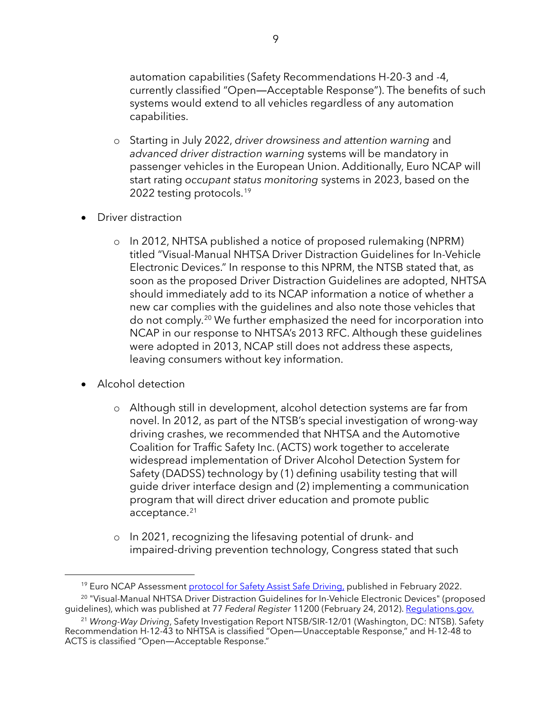automation capabilities (Safety Recommendations H-20-3 and -4, currently classified "Open―Acceptable Response"). The benefits of such systems would extend to all vehicles regardless of any automation capabilities.

- o Starting in July 2022, *driver drowsiness and attention warning* and *advanced driver distraction warning* systems will be mandatory in passenger vehicles in the European Union. Additionally, Euro NCAP will start rating *occupant status monitoring* systems in 2023, based on the 2022 testing protocols.<sup>19</sup>
- Driver distraction
	- o In 2012, NHTSA published a notice of proposed rulemaking (NPRM) titled "Visual-Manual NHTSA Driver Distraction Guidelines for In-Vehicle Electronic Devices." In response to this NPRM, the NTSB stated that, as soon as the proposed Driver Distraction Guidelines are adopted, NHTSA should immediately add to its NCAP information a notice of whether a new car complies with the guidelines and also note those vehicles that do not comply.[20](#page-8-1) We further emphasized the need for incorporation into NCAP in our response to NHTSA's 2013 RFC. Although these guidelines were adopted in 2013, NCAP still does not address these aspects, leaving consumers without key information.
- Alcohol detection
	- o Although still in development, alcohol detection systems are far from novel. In 2012, as part of the NTSB's special investigation of wrong-way driving crashes, we recommended that NHTSA and the Automotive Coalition for Traffic Safety Inc. (ACTS) work together to accelerate widespread implementation of Driver Alcohol Detection System for Safety (DADSS) technology by (1) defining usability testing that will guide driver interface design and (2) implementing a communication program that will direct driver education and promote public acceptance. [21](#page-8-2)
	- o In 2021, recognizing the lifesaving potential of drunk- and impaired-driving prevention technology, Congress stated that such

<span id="page-8-1"></span><span id="page-8-0"></span><sup>&</sup>lt;sup>19</sup> Euro NCAP Assessmen[t protocol for Safety Assist Safe Driving,](https://cdn.euroncap.com/media/67892/euro-ncap-assessment-protocol-sa-safe-driving-v1001.pdf) published in February 2022. <sup>20</sup> "Visual-Manual NHTSA Driver Distraction Guidelines for In-Vehicle Electronic Devices" (proposed guidelines), which was published at 77 *Federal Register* 11200 (February 24, 2012)[. Regulations.gov.](https://www.regulations.gov/comment/NHTSA-2010-0053-0066)

<span id="page-8-2"></span><sup>21</sup> *Wrong-Way Driving*, Safety Investigation Report NTSB/SIR-12/01 (Washington, DC: NTSB). Safety Recommendation H-12-43 to NHTSA is classified "Open―Unacceptable Response," and H-12-48 to ACTS is classified "Open―Acceptable Response."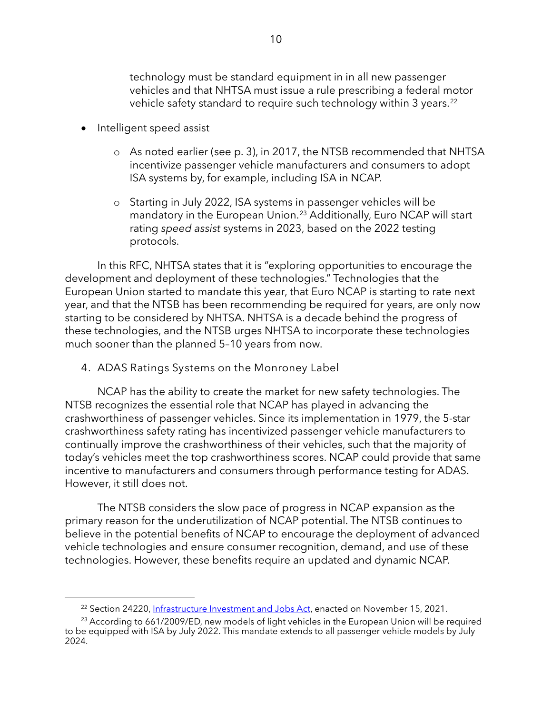technology must be standard equipment in in all new passenger vehicles and that NHTSA must issue a rule prescribing a federal motor vehicle safety standard to require such technology within 3 years.<sup>[22](#page-9-0)</sup>

- Intelligent speed assist
	- o As noted earlier (see p. 3), in 2017, the NTSB recommended that NHTSA incentivize passenger vehicle manufacturers and consumers to adopt ISA systems by, for example, including ISA in NCAP.
	- o Starting in July 2022, ISA systems in passenger vehicles will be mandatory in the European Union.<sup>23</sup> Additionally, Euro NCAP will start rating *speed assist* systems in 2023, based on the 2022 testing protocols.

In this RFC, NHTSA states that it is "exploring opportunities to encourage the development and deployment of these technologies." Technologies that the European Union started to mandate this year, that Euro NCAP is starting to rate next year, and that the NTSB has been recommending be required for years, are only now starting to be considered by NHTSA. NHTSA is a decade behind the progress of these technologies, and the NTSB urges NHTSA to incorporate these technologies much sooner than the planned 5–10 years from now.

4. ADAS Ratings Systems on the Monroney Label

NCAP has the ability to create the market for new safety technologies. The NTSB recognizes the essential role that NCAP has played in advancing the crashworthiness of passenger vehicles. Since its implementation in 1979, the 5-star crashworthiness safety rating has incentivized passenger vehicle manufacturers to continually improve the crashworthiness of their vehicles, such that the majority of today's vehicles meet the top crashworthiness scores. NCAP could provide that same incentive to manufacturers and consumers through performance testing for ADAS. However, it still does not.

The NTSB considers the slow pace of progress in NCAP expansion as the primary reason for the underutilization of NCAP potential. The NTSB continues to believe in the potential benefits of NCAP to encourage the deployment of advanced vehicle technologies and ensure consumer recognition, demand, and use of these technologies. However, these benefits require an updated and dynamic NCAP.

<sup>&</sup>lt;sup>22</sup> Section 24220[, Infrastructure Investment and Jobs Act,](https://www.congress.gov/bill/117th-congress/house-bill/3684/text) enacted on November 15, 2021.

<span id="page-9-1"></span><span id="page-9-0"></span><sup>&</sup>lt;sup>23</sup> According to 661/2009/ED, new models of light vehicles in the European Union will be required to be equipped with ISA by July 2022. This mandate extends to all passenger vehicle models by July 2024.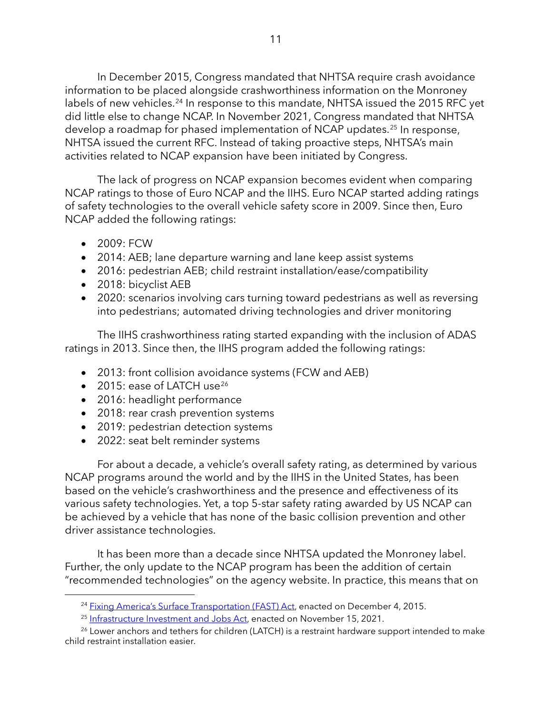In December 2015, Congress mandated that NHTSA require crash avoidance information to be placed alongside crashworthiness information on the Monroney labels of new vehicles.<sup>24</sup> In response to this mandate, NHTSA issued the 2015 RFC yet did little else to change NCAP. In November 2021, Congress mandated that NHTSA develop a roadmap for phased implementation of NCAP updates.<sup>[25](#page-10-1)</sup> In response, NHTSA issued the current RFC. Instead of taking proactive steps, NHTSA's main activities related to NCAP expansion have been initiated by Congress.

The lack of progress on NCAP expansion becomes evident when comparing NCAP ratings to those of Euro NCAP and the IIHS. Euro NCAP started adding ratings of safety technologies to the overall vehicle safety score in 2009. Since then, Euro NCAP added the following ratings:

- 2009: FCW
- 2014: AEB; lane departure warning and lane keep assist systems
- 2016: pedestrian AEB; child restraint installation/ease/compatibility
- 2018: bicyclist AEB
- 2020: scenarios involving cars turning toward pedestrians as well as reversing into pedestrians; automated driving technologies and driver monitoring

The IIHS crashworthiness rating started expanding with the inclusion of ADAS ratings in 2013. Since then, the IIHS program added the following ratings:

- 2013: front collision avoidance systems (FCW and AEB)
- $\bullet$  2015: ease of LATCH use<sup>[26](#page-10-2)</sup>
- 2016: headlight performance
- 2018: rear crash prevention systems
- 2019: pedestrian detection systems
- 2022: seat belt reminder systems

For about a decade, a vehicle's overall safety rating, as determined by various NCAP programs around the world and by the IIHS in the United States, has been based on the vehicle's crashworthiness and the presence and effectiveness of its various safety technologies. Yet, a top 5-star safety rating awarded by US NCAP can be achieved by a vehicle that has none of the basic collision prevention and other driver assistance technologies.

It has been more than a decade since NHTSA updated the Monroney label. Further, the only update to the NCAP program has been the addition of certain "recommended technologies" on the agency website. In practice, this means that on

<sup>&</sup>lt;sup>24</sup> [Fixing America's Surface Transportation \(FAST\) Act,](https://www.congress.gov/114/plaws/publ94/PLAW-114publ94.pdf) enacted on December 4, 2015.

<sup>&</sup>lt;sup>25</sup> [Infrastructure Investment and Jobs Act,](https://www.congress.gov/bill/117th-congress/house-bill/3684/text) enacted on November 15, 2021.

<span id="page-10-2"></span><span id="page-10-1"></span><span id="page-10-0"></span><sup>&</sup>lt;sup>26</sup> Lower anchors and tethers for children (LATCH) is a restraint hardware support intended to make child restraint installation easier.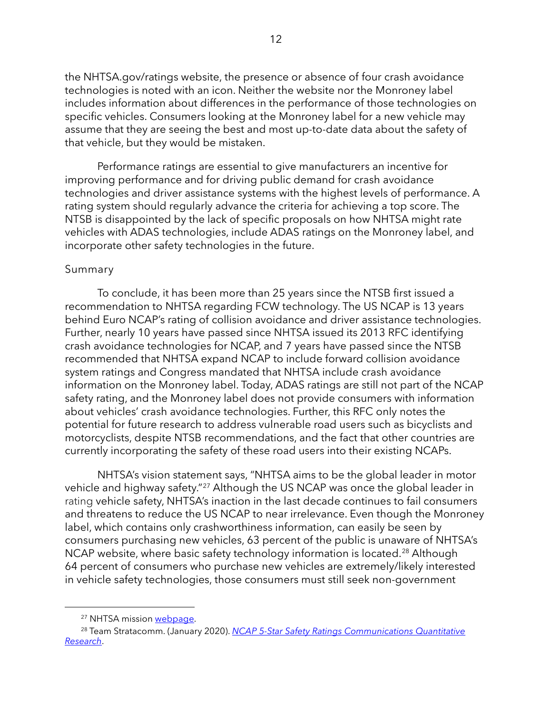the NHTSA.gov/ratings website, the presence or absence of four crash avoidance technologies is noted with an icon. Neither the website nor the Monroney label includes information about differences in the performance of those technologies on specific vehicles. Consumers looking at the Monroney label for a new vehicle may assume that they are seeing the best and most up-to-date data about the safety of that vehicle, but they would be mistaken.

Performance ratings are essential to give manufacturers an incentive for improving performance and for driving public demand for crash avoidance technologies and driver assistance systems with the highest levels of performance. A rating system should regularly advance the criteria for achieving a top score. The NTSB is disappointed by the lack of specific proposals on how NHTSA might rate vehicles with ADAS technologies, include ADAS ratings on the Monroney label, and incorporate other safety technologies in the future.

## Summary

To conclude, it has been more than 25 years since the NTSB first issued a recommendation to NHTSA regarding FCW technology. The US NCAP is 13 years behind Euro NCAP's rating of collision avoidance and driver assistance technologies. Further, nearly 10 years have passed since NHTSA issued its 2013 RFC identifying crash avoidance technologies for NCAP, and 7 years have passed since the NTSB recommended that NHTSA expand NCAP to include forward collision avoidance system ratings and Congress mandated that NHTSA include crash avoidance information on the Monroney label. Today, ADAS ratings are still not part of the NCAP safety rating, and the Monroney label does not provide consumers with information about vehicles' crash avoidance technologies. Further, this RFC only notes the potential for future research to address vulnerable road users such as bicyclists and motorcyclists, despite NTSB recommendations, and the fact that other countries are currently incorporating the safety of these road users into their existing NCAPs.

NHTSA's vision statement says, "NHTSA aims to be the global leader in motor vehicle and highway safety."<sup>[27](#page-11-0)</sup> Although the US NCAP was once the global leader in rating vehicle safety, NHTSA's inaction in the last decade continues to fail consumers and threatens to reduce the US NCAP to near irrelevance. Even though the Monroney label, which contains only crashworthiness information, can easily be seen by consumers purchasing new vehicles, 63 percent of the public is unaware of NHTSA's NCAP website, where basic safety technology information is located.<sup>[28](#page-11-1)</sup> Although 64 percent of consumers who purchase new vehicles are extremely/likely interested in vehicle safety technologies, those consumers must still seek non-government

<sup>&</sup>lt;sup>27</sup> NHTSA mission webpage.

<span id="page-11-1"></span><span id="page-11-0"></span><sup>28</sup> Team Stratacomm. (January 2020). *[NCAP 5-Star Safety Ratings Communications Quantitative](https://lindseyresearch.com/wp-content/uploads/2020/05/NHTSA-2020-0016-0001-NCAP_5-Star_Quantitative_Full_Report_dated_2020-05-05.pdf)  [Research](https://lindseyresearch.com/wp-content/uploads/2020/05/NHTSA-2020-0016-0001-NCAP_5-Star_Quantitative_Full_Report_dated_2020-05-05.pdf)*.